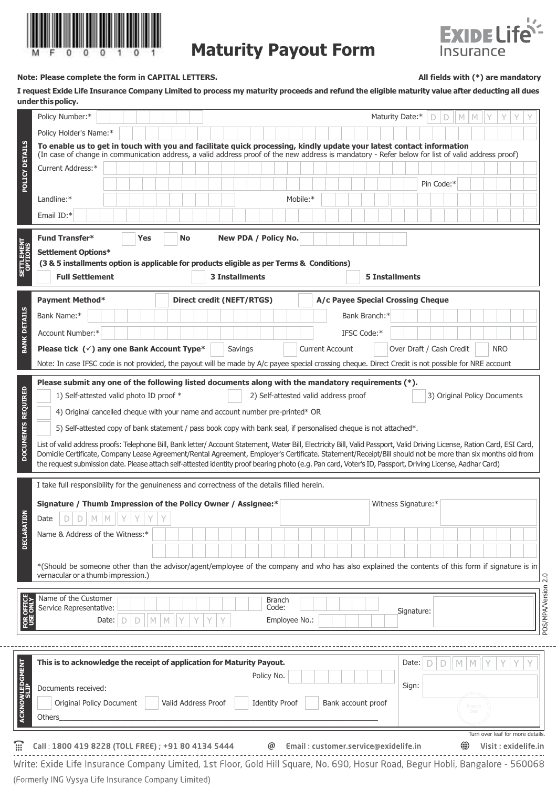

## **Maturity Payout Form**



## **Note: Please complete the form in CAPITAL LETTERS. All fields with (\*) are mandatory**

I request Exide Life Insurance Company Limited to process my maturity proceeds and refund the eligible maturity value after deducting all dues **under thispolicy.**

|                                                               | Policy Number:*                                                                                                                                                                                                                                                                                                                                                                                                                                                                                      |        |           |                     |   |                           |         |  |                        |  |          |                                      |  |                    |  |  | Maturity Date:*                   |   | D<br>D                       | $\mid M \mid M$ |             | Y          |  |
|---------------------------------------------------------------|------------------------------------------------------------------------------------------------------------------------------------------------------------------------------------------------------------------------------------------------------------------------------------------------------------------------------------------------------------------------------------------------------------------------------------------------------------------------------------------------------|--------|-----------|---------------------|---|---------------------------|---------|--|------------------------|--|----------|--------------------------------------|--|--------------------|--|--|-----------------------------------|---|------------------------------|-----------------|-------------|------------|--|
|                                                               | Policy Holder's Name:*                                                                                                                                                                                                                                                                                                                                                                                                                                                                               |        |           |                     |   |                           |         |  |                        |  |          |                                      |  |                    |  |  |                                   |   |                              |                 |             |            |  |
|                                                               | To enable us to get in touch with you and facilitate quick processing, kindly update your latest contact information<br>(In case of change in communication address, a valid address proof of the new address is mandatory - Refer below for list of valid address proof)                                                                                                                                                                                                                            |        |           |                     |   |                           |         |  |                        |  |          |                                      |  |                    |  |  |                                   |   |                              |                 |             |            |  |
|                                                               | Current Address:*                                                                                                                                                                                                                                                                                                                                                                                                                                                                                    |        |           |                     |   |                           |         |  |                        |  |          |                                      |  |                    |  |  |                                   |   |                              |                 |             |            |  |
| POLICY DETAILS                                                |                                                                                                                                                                                                                                                                                                                                                                                                                                                                                                      |        |           |                     |   |                           |         |  |                        |  |          |                                      |  |                    |  |  |                                   |   | Pin Code:*                   |                 |             |            |  |
|                                                               | Landline:*                                                                                                                                                                                                                                                                                                                                                                                                                                                                                           |        |           |                     |   |                           |         |  |                        |  | Mobile:* |                                      |  |                    |  |  |                                   |   |                              |                 |             |            |  |
|                                                               | Email ID:*                                                                                                                                                                                                                                                                                                                                                                                                                                                                                           |        |           |                     |   |                           |         |  |                        |  |          |                                      |  |                    |  |  |                                   |   |                              |                 |             |            |  |
| SETTLEMENT                                                    | <b>Fund Transfer*</b><br>Settlement Options*<br>(3 & 5 installments option is applicable for products eligible as per Terms & Conditions)<br><b>Full Settlement</b>                                                                                                                                                                                                                                                                                                                                  | Yes    | <b>No</b> |                     |   | <b>3 Installments</b>     |         |  | New PDA / Policy No.   |  |          |                                      |  |                    |  |  | <b>5 Installments</b>             |   |                              |                 |             |            |  |
|                                                               | <b>Payment Method*</b>                                                                                                                                                                                                                                                                                                                                                                                                                                                                               |        |           |                     |   | Direct credit (NEFT/RTGS) |         |  |                        |  |          |                                      |  |                    |  |  | A/c Payee Special Crossing Cheque |   |                              |                 |             |            |  |
|                                                               | Bank Name:*                                                                                                                                                                                                                                                                                                                                                                                                                                                                                          |        |           |                     |   |                           |         |  |                        |  |          |                                      |  | Bank Branch:*      |  |  |                                   |   |                              |                 |             |            |  |
| <b>BANK DETAILS</b>                                           | Account Number:*                                                                                                                                                                                                                                                                                                                                                                                                                                                                                     |        |           |                     |   |                           |         |  |                        |  |          |                                      |  |                    |  |  |                                   |   |                              |                 |             |            |  |
|                                                               |                                                                                                                                                                                                                                                                                                                                                                                                                                                                                                      |        |           |                     |   |                           |         |  |                        |  |          |                                      |  | IFSC Code:*        |  |  |                                   |   |                              |                 |             |            |  |
|                                                               | Please tick $(\check{ } )$ any one Bank Account Type*                                                                                                                                                                                                                                                                                                                                                                                                                                                |        |           |                     |   |                           | Savings |  |                        |  |          | <b>Current Account</b>               |  |                    |  |  | Over Draft / Cash Credit          |   |                              |                 |             | <b>NRO</b> |  |
|                                                               | Note: In case IFSC code is not provided, the payout will be made by A/c payee special crossing cheque. Direct Credit is not possible for NRE account                                                                                                                                                                                                                                                                                                                                                 |        |           |                     |   |                           |         |  |                        |  |          |                                      |  |                    |  |  |                                   |   |                              |                 |             |            |  |
|                                                               | Please submit any one of the following listed documents along with the mandatory requirements (*).<br>1) Self-attested valid photo ID proof *<br>4) Original cancelled cheque with your name and account number pre-printed* OR<br>5) Self-attested copy of bank statement / pass book copy with bank seal, if personalised cheque is not attached*.                                                                                                                                                 |        |           |                     |   |                           |         |  |                        |  |          | 2) Self-attested valid address proof |  |                    |  |  |                                   |   | 3) Original Policy Documents |                 |             |            |  |
|                                                               | List of valid address proofs: Telephone Bill, Bank letter/ Account Statement, Water Bill, Electricity Bill, Valid Passport, Valid Driving License, Ration Card, ESI Card,<br>Domicile Certificate, Company Lease Agreement/Rental Agreement, Employer's Certificate. Statement/Receipt/Bill should not be more than six months old from<br>the request submission date. Please attach self-attested identity proof bearing photo (e.g. Pan card, Voter's ID, Passport, Driving License, Aadhar Card) |        |           |                     |   |                           |         |  |                        |  |          |                                      |  |                    |  |  |                                   |   |                              |                 |             |            |  |
|                                                               | I take full responsibility for the genuineness and correctness of the details filled herein.                                                                                                                                                                                                                                                                                                                                                                                                         |        |           |                     |   |                           |         |  |                        |  |          |                                      |  |                    |  |  |                                   |   |                              |                 |             |            |  |
|                                                               | Signature / Thumb Impression of the Policy Owner / Assignee:*                                                                                                                                                                                                                                                                                                                                                                                                                                        |        |           |                     |   |                           |         |  |                        |  |          |                                      |  |                    |  |  | Witness Signature:*               |   |                              |                 |             |            |  |
| ŠΕ                                                            | $\mathbb{M}$<br>M<br>D<br>Date<br>D                                                                                                                                                                                                                                                                                                                                                                                                                                                                  |        |           |                     |   |                           |         |  |                        |  |          |                                      |  |                    |  |  |                                   |   |                              |                 |             |            |  |
|                                                               | Name & Address of the Witness:*                                                                                                                                                                                                                                                                                                                                                                                                                                                                      |        |           |                     |   |                           |         |  |                        |  |          |                                      |  |                    |  |  |                                   |   |                              |                 |             |            |  |
|                                                               |                                                                                                                                                                                                                                                                                                                                                                                                                                                                                                      |        |           |                     |   |                           |         |  |                        |  |          |                                      |  |                    |  |  |                                   |   |                              |                 |             |            |  |
|                                                               | *(Should be someone other than the advisor/agent/employee of the company and who has also explained the contents of this form if signature is in                                                                                                                                                                                                                                                                                                                                                     |        |           |                     |   |                           |         |  |                        |  |          |                                      |  |                    |  |  |                                   |   |                              |                 |             |            |  |
|                                                               | vernacular or a thumb impression.)                                                                                                                                                                                                                                                                                                                                                                                                                                                                   |        |           |                     |   |                           |         |  |                        |  |          |                                      |  |                    |  |  |                                   |   |                              |                 |             |            |  |
|                                                               | Name of the Customer<br>Service Representative:                                                                                                                                                                                                                                                                                                                                                                                                                                                      |        |           |                     |   |                           |         |  | <b>Branch</b><br>Code: |  |          |                                      |  |                    |  |  |                                   |   |                              |                 |             |            |  |
| OFFICI                                                        | Date:<br>Ð<br>D                                                                                                                                                                                                                                                                                                                                                                                                                                                                                      | M<br>M |           | Y                   | Υ |                           |         |  | Employee No.:          |  |          |                                      |  |                    |  |  | Signature:                        |   |                              |                 |             |            |  |
|                                                               |                                                                                                                                                                                                                                                                                                                                                                                                                                                                                                      |        |           |                     |   |                           |         |  |                        |  |          |                                      |  |                    |  |  |                                   |   |                              |                 |             |            |  |
|                                                               |                                                                                                                                                                                                                                                                                                                                                                                                                                                                                                      |        |           |                     |   |                           |         |  |                        |  |          |                                      |  |                    |  |  |                                   |   |                              |                 |             |            |  |
|                                                               | This is to acknowledge the receipt of application for Maturity Payout.                                                                                                                                                                                                                                                                                                                                                                                                                               |        |           |                     |   |                           |         |  |                        |  |          |                                      |  |                    |  |  | Date:                             | D | D                            | $\mathbb N$     | $\mathbb N$ |            |  |
|                                                               |                                                                                                                                                                                                                                                                                                                                                                                                                                                                                                      |        |           |                     |   |                           |         |  | Policy No.             |  |          |                                      |  |                    |  |  | Sign:                             |   |                              |                 |             |            |  |
|                                                               | Documents received:                                                                                                                                                                                                                                                                                                                                                                                                                                                                                  |        |           |                     |   |                           |         |  |                        |  |          |                                      |  |                    |  |  |                                   |   |                              |                 |             |            |  |
| DOCUMENTS REQUIRED<br><b>DECLARA</b><br><b>ACKNOWLEDGMENT</b> | Original Policy Document<br>Others                                                                                                                                                                                                                                                                                                                                                                                                                                                                   |        |           | Valid Address Proof |   |                           |         |  | <b>Identity Proof</b>  |  |          |                                      |  | Bank account proof |  |  |                                   |   |                              |                 |             |            |  |

. . . . . . . . . . . . . . Write: Exide Life Insurance Company Limited, 1st Floor, Gold Hill Square, No. 690, Hosur Road, Begur Hobli, Bangalore - 560068 (Formerly ING Vysya Life Insurance Company Limited)